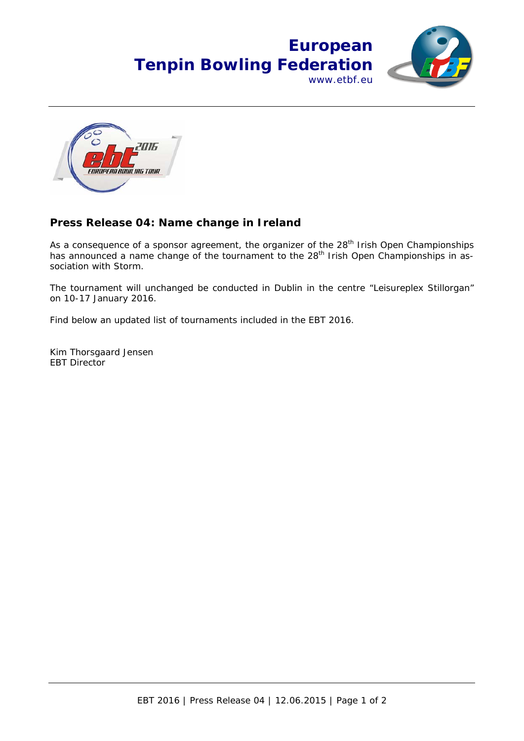



## **Press Release 04: Name change in Ireland**

As a consequence of a sponsor agreement, the organizer of the 28<sup>th</sup> Irish Open Championships has announced a name change of the tournament to the 28<sup>th</sup> Irish Open Championships in association with Storm.

The tournament will unchanged be conducted in Dublin in the centre "Leisureplex Stillorgan" on 10-17 January 2016.

Find below an updated list of tournaments included in the EBT 2016.

Kim Thorsgaard Jensen EBT Director